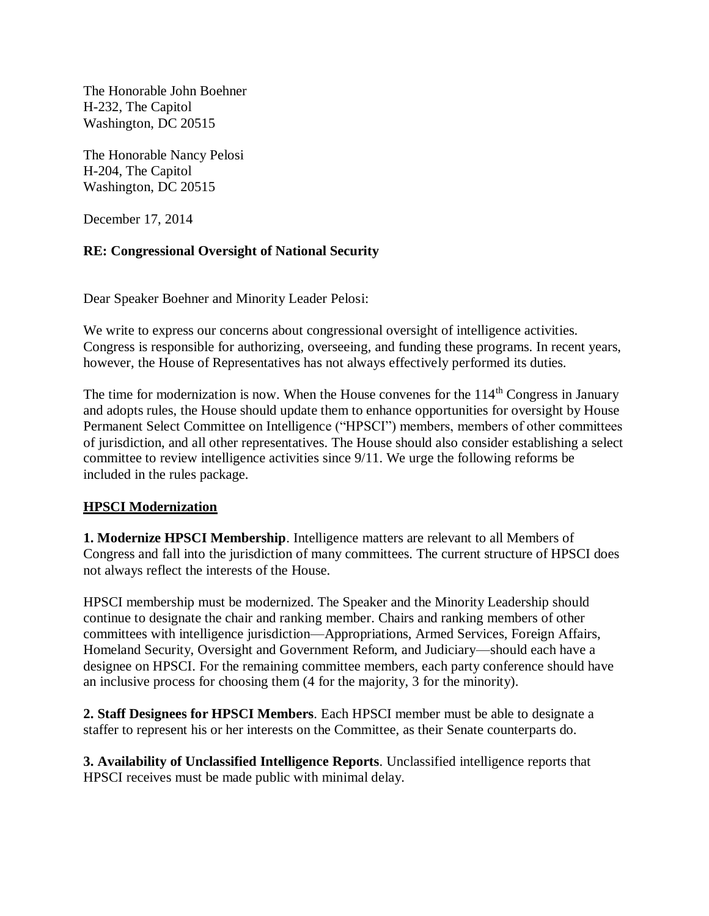The Honorable John Boehner H-232, The Capitol Washington, DC 20515

The Honorable Nancy Pelosi H-204, The Capitol Washington, DC 20515

December 17, 2014

## **RE: Congressional Oversight of National Security**

Dear Speaker Boehner and Minority Leader Pelosi:

We write to express our concerns about congressional oversight of intelligence activities. Congress is responsible for authorizing, overseeing, and funding these programs. In recent years, however, the House of Representatives has not always effectively performed its duties.

The time for modernization is now. When the House convenes for the  $114<sup>th</sup>$  Congress in January and adopts rules, the House should update them to enhance opportunities for oversight by House Permanent Select Committee on Intelligence ("HPSCI") members, members of other committees of jurisdiction, and all other representatives. The House should also consider establishing a select committee to review intelligence activities since 9/11. We urge the following reforms be included in the rules package.

## **HPSCI Modernization**

**1. Modernize HPSCI Membership**. Intelligence matters are relevant to all Members of Congress and fall into the jurisdiction of many committees. The current structure of HPSCI does not always reflect the interests of the House.

HPSCI membership must be modernized. The Speaker and the Minority Leadership should continue to designate the chair and ranking member. Chairs and ranking members of other committees with intelligence jurisdiction—Appropriations, Armed Services, Foreign Affairs, Homeland Security, Oversight and Government Reform, and Judiciary—should each have a designee on HPSCI. For the remaining committee members, each party conference should have an inclusive process for choosing them (4 for the majority, 3 for the minority).

**2. Staff Designees for HPSCI Members**. Each HPSCI member must be able to designate a staffer to represent his or her interests on the Committee, as their Senate counterparts do.

**3. Availability of Unclassified Intelligence Reports**. Unclassified intelligence reports that HPSCI receives must be made public with minimal delay.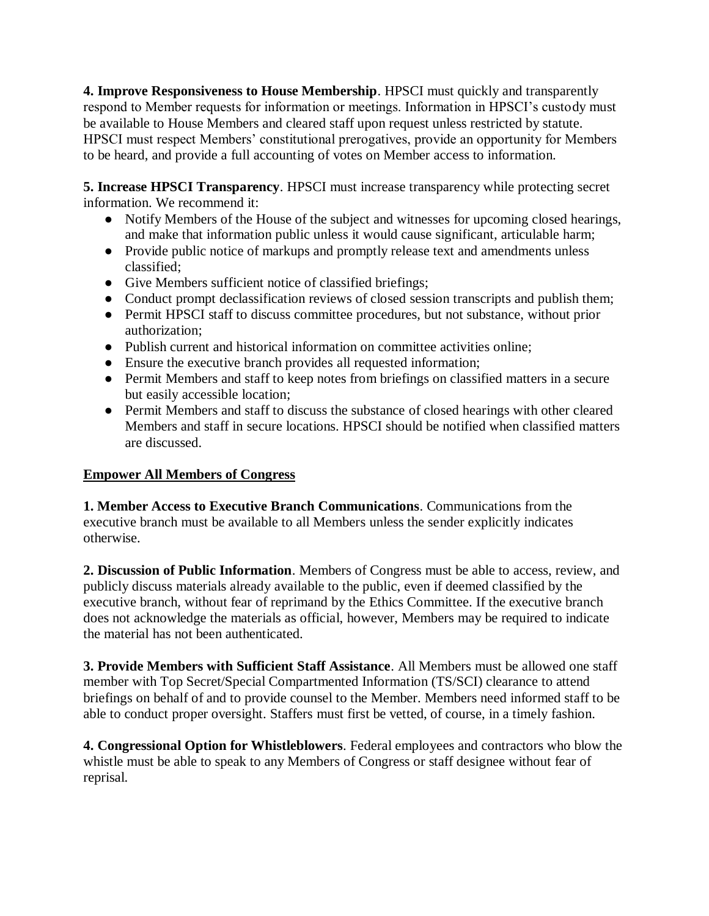**4. Improve Responsiveness to House Membership**. HPSCI must quickly and transparently respond to Member requests for information or meetings. Information in HPSCI's custody must be available to House Members and cleared staff upon request unless restricted by statute. HPSCI must respect Members' constitutional prerogatives, provide an opportunity for Members to be heard, and provide a full accounting of votes on Member access to information.

**5. Increase HPSCI Transparency**. HPSCI must increase transparency while protecting secret information. We recommend it:

- Notify Members of the House of the subject and witnesses for upcoming closed hearings, and make that information public unless it would cause significant, articulable harm;
- Provide public notice of markups and promptly release text and amendments unless classified;
- Give Members sufficient notice of classified briefings;
- Conduct prompt declassification reviews of closed session transcripts and publish them;
- Permit HPSCI staff to discuss committee procedures, but not substance, without prior authorization;
- Publish current and historical information on committee activities online;
- Ensure the executive branch provides all requested information;
- Permit Members and staff to keep notes from briefings on classified matters in a secure but easily accessible location;
- Permit Members and staff to discuss the substance of closed hearings with other cleared Members and staff in secure locations. HPSCI should be notified when classified matters are discussed.

## **Empower All Members of Congress**

**1. Member Access to Executive Branch Communications**. Communications from the executive branch must be available to all Members unless the sender explicitly indicates otherwise.

**2. Discussion of Public Information**. Members of Congress must be able to access, review, and publicly discuss materials already available to the public, even if deemed classified by the executive branch, without fear of reprimand by the Ethics Committee. If the executive branch does not acknowledge the materials as official, however, Members may be required to indicate the material has not been authenticated.

**3. Provide Members with Sufficient Staff Assistance**. All Members must be allowed one staff member with Top Secret/Special Compartmented Information (TS/SCI) clearance to attend briefings on behalf of and to provide counsel to the Member. Members need informed staff to be able to conduct proper oversight. Staffers must first be vetted, of course, in a timely fashion.

**4. Congressional Option for Whistleblowers**. Federal employees and contractors who blow the whistle must be able to speak to any Members of Congress or staff designee without fear of reprisal.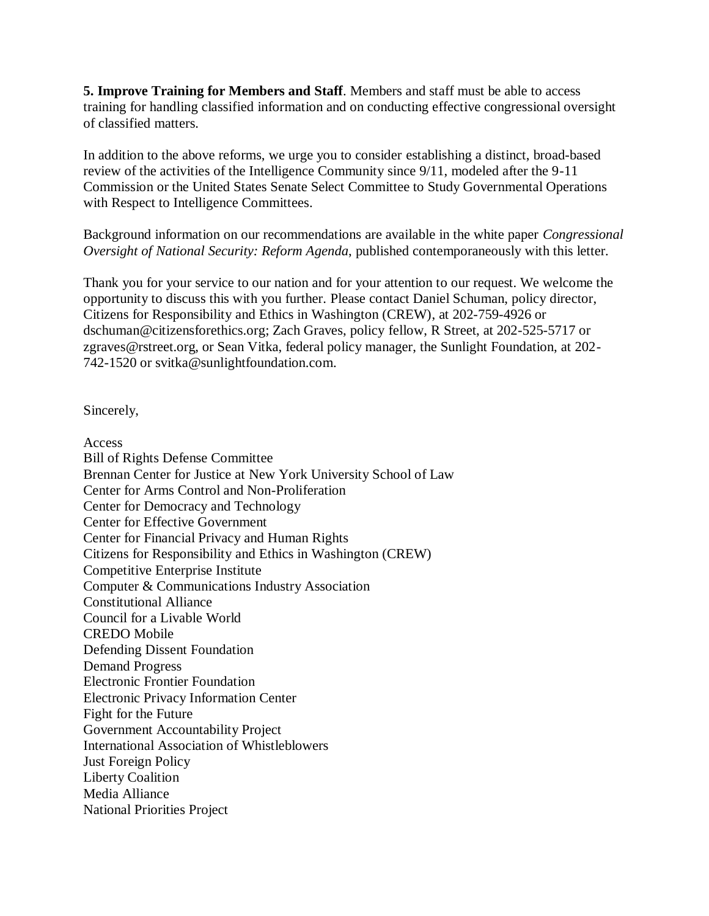**5. Improve Training for Members and Staff**. Members and staff must be able to access training for handling classified information and on conducting effective congressional oversight of classified matters.

In addition to the above reforms, we urge you to consider establishing a distinct, broad-based review of the activities of the Intelligence Community since 9/11, modeled after the 9-11 Commission or the United States Senate Select Committee to Study Governmental Operations with Respect to Intelligence Committees.

Background information on our recommendations are available in the white paper *Congressional Oversight of National Security: Reform Agenda*, published contemporaneously with this letter.

Thank you for your service to our nation and for your attention to our request. We welcome the opportunity to discuss this with you further. Please contact Daniel Schuman, policy director, Citizens for Responsibility and Ethics in Washington (CREW), at 202-759-4926 or dschuman@citizensforethics.org; Zach Graves, policy fellow, R Street, at 202-525-5717 or zgraves@rstreet.org, or Sean Vitka, federal policy manager, the Sunlight Foundation, at 202- 742-1520 or svitka@sunlightfoundation.com.

Sincerely,

Access Bill of Rights Defense Committee Brennan Center for Justice at New York University School of Law Center for Arms Control and Non-Proliferation Center for Democracy and Technology Center for Effective Government Center for Financial Privacy and Human Rights Citizens for Responsibility and Ethics in Washington (CREW) Competitive Enterprise Institute Computer & Communications Industry Association Constitutional Alliance Council for a Livable World CREDO Mobile Defending Dissent Foundation Demand Progress Electronic Frontier Foundation Electronic Privacy Information Center Fight for the Future Government Accountability Project International Association of Whistleblowers Just Foreign Policy Liberty Coalition Media Alliance National Priorities Project